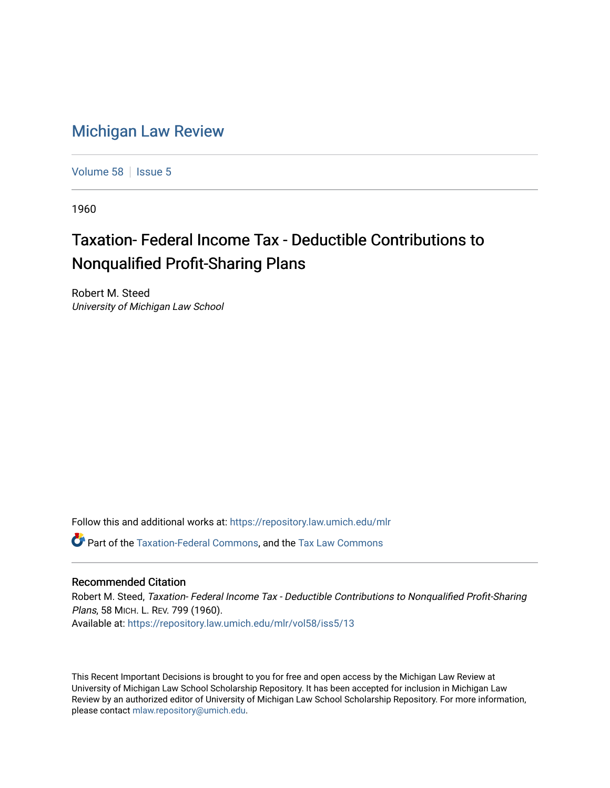## [Michigan Law Review](https://repository.law.umich.edu/mlr)

[Volume 58](https://repository.law.umich.edu/mlr/vol58) | [Issue 5](https://repository.law.umich.edu/mlr/vol58/iss5)

1960

## Taxation- Federal Income Tax - Deductible Contributions to Nonqualified Profit-Sharing Plans

Robert M. Steed University of Michigan Law School

Follow this and additional works at: [https://repository.law.umich.edu/mlr](https://repository.law.umich.edu/mlr?utm_source=repository.law.umich.edu%2Fmlr%2Fvol58%2Fiss5%2F13&utm_medium=PDF&utm_campaign=PDFCoverPages) 

Part of the [Taxation-Federal Commons](http://network.bepress.com/hgg/discipline/881?utm_source=repository.law.umich.edu%2Fmlr%2Fvol58%2Fiss5%2F13&utm_medium=PDF&utm_campaign=PDFCoverPages), and the [Tax Law Commons](http://network.bepress.com/hgg/discipline/898?utm_source=repository.law.umich.edu%2Fmlr%2Fvol58%2Fiss5%2F13&utm_medium=PDF&utm_campaign=PDFCoverPages) 

## Recommended Citation

Robert M. Steed, Taxation- Federal Income Tax - Deductible Contributions to Nonqualified Profit-Sharing Plans, 58 MICH. L. REV. 799 (1960). Available at: [https://repository.law.umich.edu/mlr/vol58/iss5/13](https://repository.law.umich.edu/mlr/vol58/iss5/13?utm_source=repository.law.umich.edu%2Fmlr%2Fvol58%2Fiss5%2F13&utm_medium=PDF&utm_campaign=PDFCoverPages) 

This Recent Important Decisions is brought to you for free and open access by the Michigan Law Review at University of Michigan Law School Scholarship Repository. It has been accepted for inclusion in Michigan Law Review by an authorized editor of University of Michigan Law School Scholarship Repository. For more information, please contact [mlaw.repository@umich.edu.](mailto:mlaw.repository@umich.edu)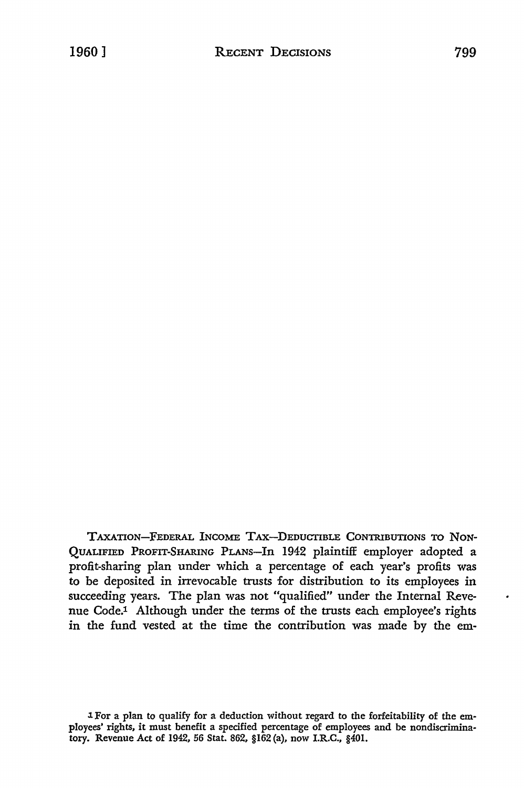TAXATION-FEDERAL INCOME TAX-DEDUCTIBLE CONTRIBUTIONS TO NON-QUALIFIED PROFIT-SHARING PLANS-In 1942 plaintiff employer adopted a profit-sharing plan under which a percentage of each year's profits was to be deposited in irrevocable trusts for distribution to its employees in succeeding years. The plan was not "qualified" under the Internal Revenue Code.1 Although under the terms of the trusts each employee's rights in the fund vested at the time the contribution was made by the em-

l. For a plan to qualify for a deduction without regard to the forfeitability of the em• ployees' rights, it must benefit a specified percentage of employees and be nondiscrimina• tory. Revenue Act of 1942, 56 Stat. 862, §162 (a), now I.R.C., §401.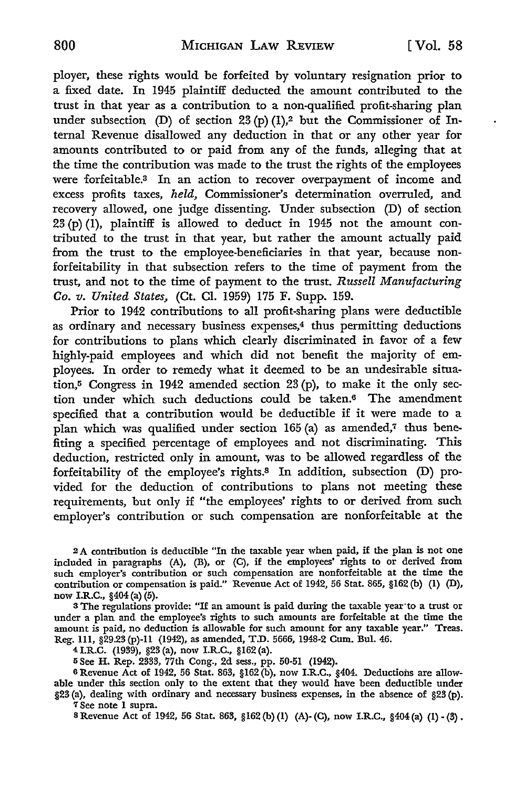ployer, these rights would be forfeited by voluntary resignation prior to a fixed date. In 1945 plaintiff deducted the amount contributed to the trust in that year as a contribution to a non-qualified profit-sharing plan under subsection (D) of section  $23(p)(1)$ ,<sup>2</sup> but the Commissioner of Internal Revenue disallowed any deduction in that or any other year for amounts contributed to or paid from any of the funds, alleging that at the time the contribution was made to the trust the rights of the employees were forfeitable.<sup>3</sup> In an action to recover overpayment of income and excess profits taxes, *held,* Commissioner's determination overruled, and recovery allowed, one judge dissenting. Under subsection (D) of section 23 (p) (1), plaintiff is allowed to deduct in 1945 not the amount contributed to the trust in that year, but rather the amount actually paid from the trust to the employee-beneficiaries in that year, because nonforfeitability in that subsection refers to the time of payment from the trust, and not to the time of payment to the trust. *Russell Manufacturing Co. v. United States,* (Ct. Cl. 1959) 175 F. Supp. 159.

Prior to 1942 contributions to all profit-sharing plans were deductible as ordinary and necessary business expenses,4 thus permitting deductions for contributions to plans which clearly discriminated in favor of a few highly-paid employees and which did not benefit the majority of employees. In order to remedy what it deemed to be an undesirable situation,5 Congress in 1942 amended section 23 (p), to make it the only section under which such deductions could be taken.6 The amendment specified that a contribution would be deductible if it were made to a plan which was qualified under section 165 (a) as amended,<sup>7</sup> thus benefiting a specified percentage of employees and not discriminating. This deduction, restricted only in amount, was to be allowed regardless of the forfeitability of the employee's rights.8 In addition, subsection (D) provided for the deduction of contributions to plans not meeting these requirements, but only if "the employees' rights to or derived from such employer's contribution or such compensation are nonforfeitable at the

<sup>2</sup>A contribution is deductible "In the taxable year when paid, if the plan is not one included in paragraphs (A), (B), or (C), if the employees' rights to or derived from such employer's contribution or such compensation are nonforfeitable at the time the contribution or compensation is paid." Revenue Act of 1942, 56 Stat. 865, §162 (b) (1) (D), now I.R.C., §404 (a) (5).

<sup>3</sup>The regulations provide: "If an amount is paid during the taxable year·to a trust or under a plan and the employee's rights to such amounts are forfeitable at the time the amount is paid, no deduction is allowable for such amount for any taxable year." Treas. Reg. 111, §29.23 (p)-11 (1942), as amended, T.D. 5666, 1948-2 Cum. Bui. 46.

41.R.C. (1939), §23 (a), now I.R.C., §162 (a).

<sup>5</sup>See **H.** Rep. 2333, 77th Cong., 2d sess., pp. 50-51 (1942).

6 Revenue Act of 1942, 56 Stat. 863, §162 (b), now I.R.C., §404. Deductions are allowable under this section only to the extent that they would have been deductible under §23 (a), dealing with ordinary and necessary business expenses, in the absence of §23 (p). **7** See note **1** supra.

s Revenue Act of 1942, 56 Stat. 863, §162 (b) (1) (A)-(C), now I.R.C., §404 (a) (I) - (3).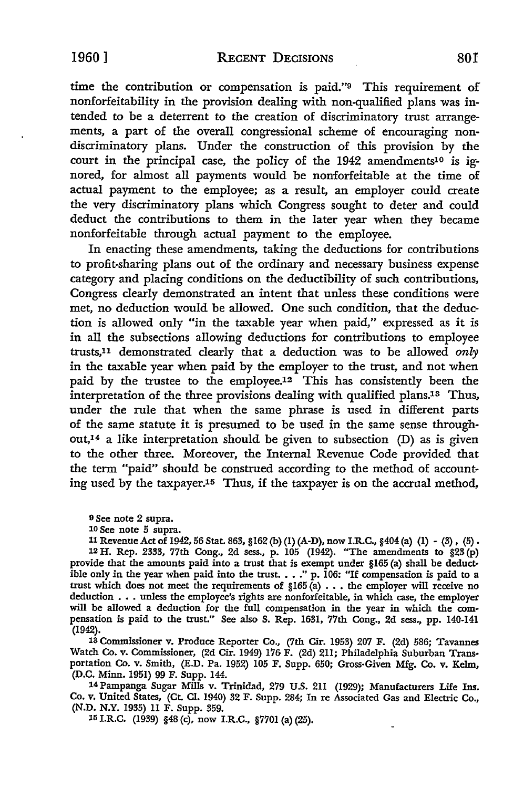time the contribution or compensation is paid."9 This requirement of nonforfeitability in the provision dealing with non-qualified plans was intended to be a deterrent to the creation of discriminatory trust arrangements, a part of the overall congressional scheme of encouraging nondiscriminatory plans. Under the construction of this provision by the court in the principal case, the policy of the 1942 amendments<sup>10</sup> is ignored, for almost all payments would be nonforfeitable at the time of actual payment to the employee; as a result, an employer could create the very discriminatory plans which Congress sought to deter and could deduct the contributions to them in the later year when they became nonforfeitable through actual payment to the employee.

In enacting these amendments, taking the deductions for contributions to profit-sharing plans out of the ordinary and necessary business expense category and placing conditions on the deductibility of such contributions, Congress clearly demonstrated an intent that unless these conditions were met, no deduction would be allowed. One such condition, that the deduction is allowed only "in the taxable year when paid," expressed as it is in all the subsections allowing deductions for contributions to employee trusts,11 demonstrated clearly that a deduction was to be allowed *only*  in the taxable year when paid by the employer to the trust, and not when paid by the trustee to the employee.12 This has consistently been the interpretation of the three provisions dealing with qualified plans.13 Thus, under the rule that when the same phrase is used in different parts of the same statute it is presumed to be used in the same sense throughout,14 a like interpretation should be given to subsection (D) as is given to the other three. Moreover, the Internal Revenue Code provided that the term "paid" should be construed according to the method of accounting used by the taxpayer.15 Thus, if the taxpayer is on the accrual method,

9 See note 2 supra.

10 See note 5 supra.

11 Revenue Act of 1942, 56 Stat. 863, §162 (b) (1) (A-D), now I.R.C., §404 (a) (1) - (3), (5). 12 H. Rep. 2333, 77th Cong., 2d sess., p. 105 (1942). "The amendments to §23 (p) provide that the amounts paid into a trust that is exempt under §165 (a) shall be deductible only in the year when paid into the trust.  $\ldots$  " p. 106: "If compensation is paid to a trust which does not meet the requirements of §165 (a) •.• the employer will receive no deduction . . . unless the employee's rights are nonforfeitable, in which case, the employer will be allowed a deduction for the full compensation in the year in which the compensation is paid to the trust." See also S. Rep. 1631, 77th Cong., 2d sess., pp. 140-141 (1942).

13 Commissioner v. Produce Reporter Co., (7th Cir. 1953) 207 F. (2d) 586; Tavannes Watch Co. v. Commissioner, (2d Cir. 1949) 176 F. (2d) 211; Philadelphia Suburban Trans• portation Co. v. Smith, (E.D. Pa. 1952) 105 F. Supp. 650; Gross-Given Mfg. Co. v. Kelm, (D.C. Minn. 1951) 99 F. Supp. 144.

14Pampanga Sugar Mills v. Trinidad, 279 U.S. 211 (1929); Manufacturers Life Ins. Co. v. United States, (Ct. Cl. 1940) 32 F. Supp. 284; In re Associated Gas and Electric Co., (N.D. N.Y. 1935) 11 F. Supp. 359.

15 I.R.C. (1939) §48 (c), now I.R.C., §7701 (a) (25).